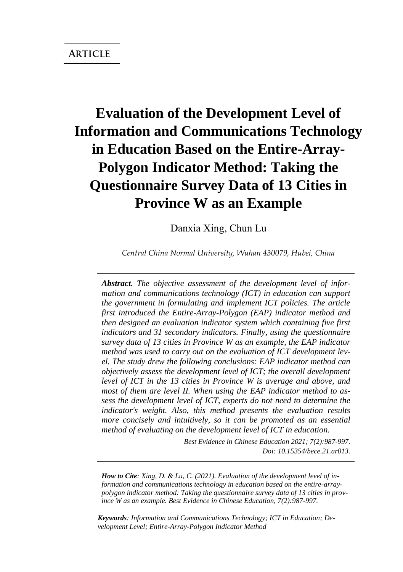# **Evaluation of the Development Level of Information and Communications Technology in Education Based on the Entire-Array-Polygon Indicator Method: Taking the Questionnaire Survey Data of 13 Cities in Province W as an Example**

Danxia Xing, Chun Lu

*Central China Normal University, Wuhan 430079, Hubei, China*

*Abstract. The objective assessment of the development level of information and communications technology (ICT) in education can support the government in formulating and implement ICT policies. The article first introduced the Entire-Array-Polygon (EAP) indicator method and then designed an evaluation indicator system which containing five first indicators and 31 secondary indicators. Finally, using the questionnaire survey data of 13 cities in Province W as an example, the EAP indicator method was used to carry out on the evaluation of ICT development level. The study drew the following conclusions: EAP indicator method can objectively assess the development level of ICT; the overall development level of ICT in the 13 cities in Province W is average and above, and most of them are level II. When using the EAP indicator method to assess the development level of ICT, experts do not need to determine the indicator's weight. Also, this method presents the evaluation results more concisely and intuitively, so it can be promoted as an essential method of evaluating on the development level of ICT in education.*

> *Best Evidence in Chinese Education 2021; 7(2):987-997. Doi: 10.15354/bece.21.ar013.*

*How to Cite: Xing, D. & Lu, C. (2021). Evaluation of the development level of information and communications technology in education based on the entire-arraypolygon indicator method: Taking the questionnaire survey data of 13 cities in province W as an example. Best Evidence in Chinese Education, 7(2):987-997.*

*Keywords: Information and Communications Technology; ICT in Education; Development Level; Entire-Array-Polygon Indicator Method*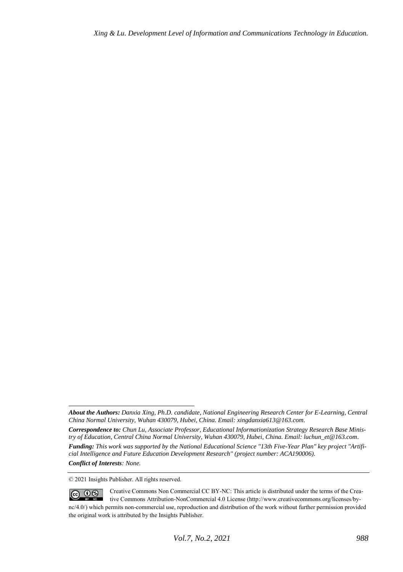© 2021 Insights Publisher. All rights reserved.

*About the Authors: Danxia Xing, Ph.D. candidate, National Engineering Research Center for E-Learning, Central China Normal University, Wuhan 430079, Hubei, China. Email: xingdanxia613@163.com.* 

*Correspondence to: Chun Lu, Associate Professor, Educational Informationization Strategy Research Base Ministry of Education, Central China Normal University, Wuhan 430079, Hubei, China. Email: luchun\_et@163.com.* 

*Funding: This work was supported by the National Educational Science "13th Five-Year Plan" key project "Artificial Intelligence and Future Education Development Research" (project number: ACA190006). Conflict of Interests: None.* 

Creative Commons Non Commercial CC BY-NC: This article is distributed under the terms of the Crea- $\circledcirc$   $\circledcirc$ tive Commons Attribution-NonCommercial 4.0 License (http://www.creativecommons.org/licenses/bync/4.0/) which permits non-commercial use, reproduction and distribution of the work without further permission provided the original work is attributed by the Insights Publisher.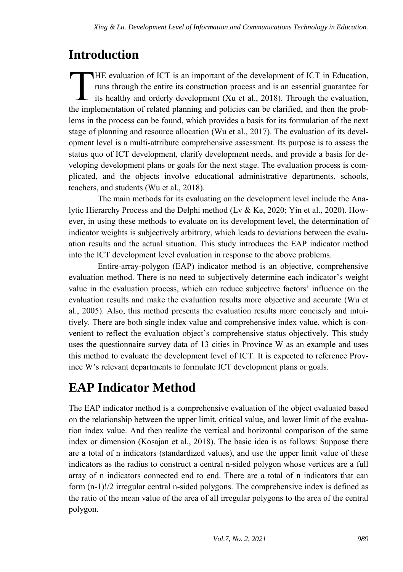## **Introduction**

HE evaluation of ICT is an important of the development of ICT in Education, runs through the entire its construction process and is an essential guarantee for its healthy and orderly development (Xu et al., 2018). Through the evaluation, THE evaluation of ICT is an important of the development of ICT in Education, runs through the entire its construction process and is an essential guarantee for its healthy and orderly development (Xu et al., 2018). Throug lems in the process can be found, which provides a basis for its formulation of the next stage of planning and resource allocation (Wu et al., 2017). The evaluation of its development level is a multi-attribute comprehensive assessment. Its purpose is to assess the status quo of ICT development, clarify development needs, and provide a basis for developing development plans or goals for the next stage. The evaluation process is complicated, and the objects involve educational administrative departments, schools, teachers, and students (Wu et al., 2018).

The main methods for its evaluating on the development level include the Analytic Hierarchy Process and the Delphi method (Lv & Ke, 2020; Yin et al., 2020). However, in using these methods to evaluate on its development level, the determination of indicator weights is subjectively arbitrary, which leads to deviations between the evaluation results and the actual situation. This study introduces the EAP indicator method into the ICT development level evaluation in response to the above problems.

Entire-array-polygon (EAP) indicator method is an objective, comprehensive evaluation method. There is no need to subjectively determine each indicator's weight value in the evaluation process, which can reduce subjective factors' influence on the evaluation results and make the evaluation results more objective and accurate (Wu et al., 2005). Also, this method presents the evaluation results more concisely and intuitively. There are both single index value and comprehensive index value, which is convenient to reflect the evaluation object's comprehensive status objectively. This study uses the questionnaire survey data of 13 cities in Province W as an example and uses this method to evaluate the development level of ICT. It is expected to reference Province W's relevant departments to formulate ICT development plans or goals.

## **EAP Indicator Method**

The EAP indicator method is a comprehensive evaluation of the object evaluated based on the relationship between the upper limit, critical value, and lower limit of the evaluation index value. And then realize the vertical and horizontal comparison of the same index or dimension (Kosajan et al., 2018). The basic idea is as follows: Suppose there are a total of n indicators (standardized values), and use the upper limit value of these indicators as the radius to construct a central n-sided polygon whose vertices are a full array of n indicators connected end to end. There are a total of n indicators that can form (n-1)!/2 irregular central n-sided polygons. The comprehensive index is defined as the ratio of the mean value of the area of all irregular polygons to the area of the central polygon.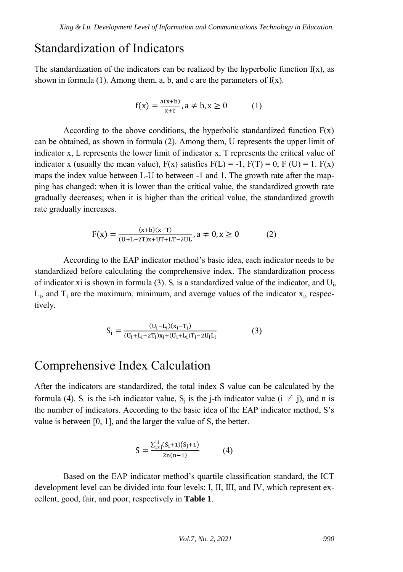### Standardization of Indicators

The standardization of the indicators can be realized by the hyperbolic function  $f(x)$ , as shown in formula (1). Among them, a, b, and c are the parameters of  $f(x)$ .

$$
f(x) = \frac{a(x+b)}{x+c}, a \neq b, x \ge 0
$$
 (1)

According to the above conditions, the hyperbolic standardized function  $F(x)$ can be obtained, as shown in formula (2). Among them, U represents the upper limit of indicator x, L represents the lower limit of indicator x, T represents the critical value of indicator x (usually the mean value),  $F(x)$  satisfies  $F(L) = -1$ ,  $F(T) = 0$ ,  $F(U) = 1$ .  $F(x)$ maps the index value between L-U to between -1 and 1. The growth rate after the mapping has changed: when it is lower than the critical value, the standardized growth rate gradually decreases; when it is higher than the critical value, the standardized growth rate gradually increases.

$$
F(x)=\tfrac{(x+b)(x-T)}{(U+L-2T)x+UT+LT-2UL}, a\neq 0, x\geq 0 \qquad \qquad (2)
$$

According to the EAP indicator method's basic idea, each indicator needs to be standardized before calculating the comprehensive index. The standardization process of indicator xi is shown in formula (3).  $S_i$  is a standardized value of the indicator, and  $U_i$ ,  $L_i$ , and  $T_i$  are the maximum, minimum, and average values of the indicator  $x_i$ , respectively.

$$
S_i = \frac{(U_i - L_i)(x_i - T_i)}{(U_i + L_i - 2T_i)x_i + (U_i + L_i)T_i - 2U_iL_i}
$$
(3)

### Comprehensive Index Calculation

After the indicators are standardized, the total index S value can be calculated by the formula (4). S<sub>i</sub> is the i-th indicator value, S<sub>j</sub> is the j-th indicator value ( $i \neq j$ ), and n is the number of indicators. According to the basic idea of the EAP indicator method, S's value is between [0, 1], and the larger the value of S, the better.

$$
S = \frac{\sum_{i \neq j}^{i,j} (S_i + 1)(S_j + 1)}{2n(n-1)} \tag{4}
$$

Based on the EAP indicator method's quartile classification standard, the ICT development level can be divided into four levels: I, II, III, and IV, which represent excellent, good, fair, and poor, respectively in **Table 1**.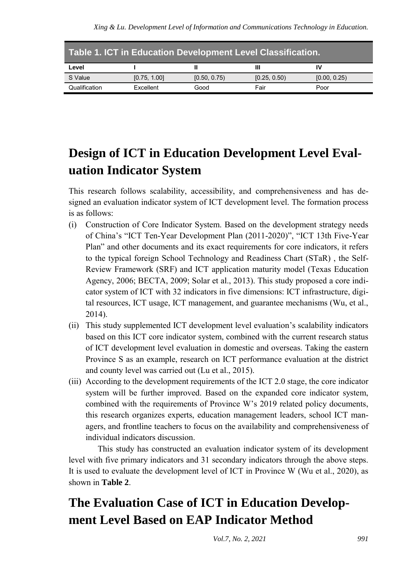| Table 1. ICT in Education Development Level Classification. |              |              |              |              |  |  |  |  |
|-------------------------------------------------------------|--------------|--------------|--------------|--------------|--|--|--|--|
| Level                                                       |              |              |              | ιv           |  |  |  |  |
| S Value                                                     | [0.75, 1.00] | [0.50, 0.75) | [0.25, 0.50) | [0.00, 0.25) |  |  |  |  |
| Qualification                                               | Excellent    | Good         | Fair         | Poor         |  |  |  |  |

## **Design of ICT in Education Development Level Evaluation Indicator System**

This research follows scalability, accessibility, and comprehensiveness and has designed an evaluation indicator system of ICT development level. The formation process is as follows:

- (i) Construction of Core Indicator System. Based on the development strategy needs of China's "ICT Ten-Year Development Plan (2011-2020)", "ICT 13th Five-Year Plan" and other documents and its exact requirements for core indicators, it refers to the typical foreign School Technology and Readiness Chart (STaR) , the Self-Review Framework (SRF) and ICT application maturity model (Texas Education Agency, 2006; BECTA, 2009; Solar et al., 2013). This study proposed a core indicator system of ICT with 32 indicators in five dimensions: ICT infrastructure, digital resources, ICT usage, ICT management, and guarantee mechanisms (Wu, et al., 2014).
- (ii) This study supplemented ICT development level evaluation's scalability indicators based on this ICT core indicator system, combined with the current research status of ICT development level evaluation in domestic and overseas. Taking the eastern Province S as an example, research on ICT performance evaluation at the district and county level was carried out (Lu et al., 2015).
- (iii) According to the development requirements of the ICT 2.0 stage, the core indicator system will be further improved. Based on the expanded core indicator system, combined with the requirements of Province W's 2019 related policy documents, this research organizes experts, education management leaders, school ICT managers, and frontline teachers to focus on the availability and comprehensiveness of individual indicators discussion.

This study has constructed an evaluation indicator system of its development level with five primary indicators and 31 secondary indicators through the above steps. It is used to evaluate the development level of ICT in Province W (Wu et al., 2020), as shown in **Table 2**.

## **The Evaluation Case of ICT in Education Development Level Based on EAP Indicator Method**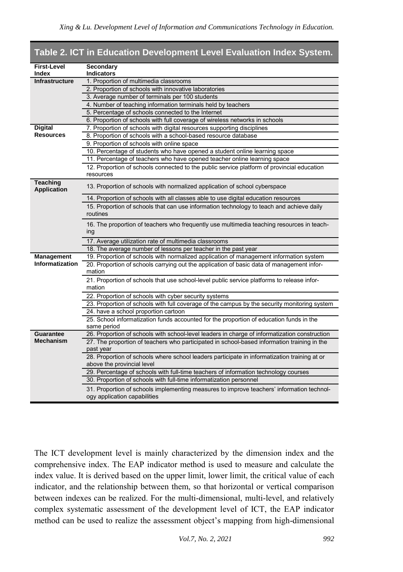| First-Level                           | Secondary                                                                                                                  |  |  |  |  |  |  |
|---------------------------------------|----------------------------------------------------------------------------------------------------------------------------|--|--|--|--|--|--|
| Index                                 | <b>Indicators</b>                                                                                                          |  |  |  |  |  |  |
| <b>Infrastructure</b>                 | 1. Proportion of multimedia classrooms                                                                                     |  |  |  |  |  |  |
|                                       | 2. Proportion of schools with innovative laboratories                                                                      |  |  |  |  |  |  |
|                                       | 3. Average number of terminals per 100 students                                                                            |  |  |  |  |  |  |
|                                       | 4. Number of teaching information terminals held by teachers                                                               |  |  |  |  |  |  |
|                                       | 5. Percentage of schools connected to the Internet                                                                         |  |  |  |  |  |  |
|                                       | 6. Proportion of schools with full coverage of wireless networks in schools                                                |  |  |  |  |  |  |
| <b>Digital</b>                        | 7. Proportion of schools with digital resources supporting disciplines                                                     |  |  |  |  |  |  |
| <b>Resources</b>                      | 8. Proportion of schools with a school-based resource database                                                             |  |  |  |  |  |  |
|                                       | 9. Proportion of schools with online space                                                                                 |  |  |  |  |  |  |
|                                       | 10. Percentage of students who have opened a student online learning space                                                 |  |  |  |  |  |  |
|                                       | 11. Percentage of teachers who have opened teacher online learning space                                                   |  |  |  |  |  |  |
|                                       | 12. Proportion of schools connected to the public service platform of provincial education                                 |  |  |  |  |  |  |
|                                       | resources                                                                                                                  |  |  |  |  |  |  |
| <b>Teaching</b><br><b>Application</b> | 13. Proportion of schools with normalized application of school cyberspace                                                 |  |  |  |  |  |  |
|                                       | 14. Proportion of schools with all classes able to use digital education resources                                         |  |  |  |  |  |  |
|                                       | 15. Proportion of schools that can use information technology to teach and achieve daily<br>routines                       |  |  |  |  |  |  |
|                                       | 16. The proportion of teachers who frequently use multimedia teaching resources in teach-<br>ing                           |  |  |  |  |  |  |
|                                       | 17. Average utilization rate of multimedia classrooms                                                                      |  |  |  |  |  |  |
|                                       | 18. The average number of lessons per teacher in the past year                                                             |  |  |  |  |  |  |
| Management                            | 19. Proportion of schools with normalized application of management information system                                     |  |  |  |  |  |  |
| Informatization                       | 20. Proportion of schools carrying out the application of basic data of management infor-<br>mation                        |  |  |  |  |  |  |
|                                       | 21. Proportion of schools that use school-level public service platforms to release infor-<br>mation                       |  |  |  |  |  |  |
|                                       | 22. Proportion of schools with cyber security systems                                                                      |  |  |  |  |  |  |
|                                       | 23. Proportion of schools with full coverage of the campus by the security monitoring system                               |  |  |  |  |  |  |
|                                       | 24. have a school proportion cartoon                                                                                       |  |  |  |  |  |  |
|                                       | 25. School informatization funds accounted for the proportion of education funds in the<br>same period                     |  |  |  |  |  |  |
| <b>Guarantee</b>                      | 26. Proportion of schools with school-level leaders in charge of informatization construction                              |  |  |  |  |  |  |
| <b>Mechanism</b>                      | 27. The proportion of teachers who participated in school-based information training in the<br>past year                   |  |  |  |  |  |  |
|                                       | 28. Proportion of schools where school leaders participate in informatization training at or<br>above the provincial level |  |  |  |  |  |  |
|                                       | 29. Percentage of schools with full-time teachers of information technology courses                                        |  |  |  |  |  |  |
|                                       | 30. Proportion of schools with full-time informatization personnel                                                         |  |  |  |  |  |  |
|                                       | 31. Proportion of schools implementing measures to improve teachers' information technol-<br>ogy application capabilities  |  |  |  |  |  |  |

#### **Table 2. ICT in Education Development Level Evaluation Index System.**

The ICT development level is mainly characterized by the dimension index and the comprehensive index. The EAP indicator method is used to measure and calculate the index value. It is derived based on the upper limit, lower limit, the critical value of each indicator, and the relationship between them, so that horizontal or vertical comparison between indexes can be realized. For the multi-dimensional, multi-level, and relatively complex systematic assessment of the development level of ICT, the EAP indicator method can be used to realize the assessment object's mapping from high-dimensional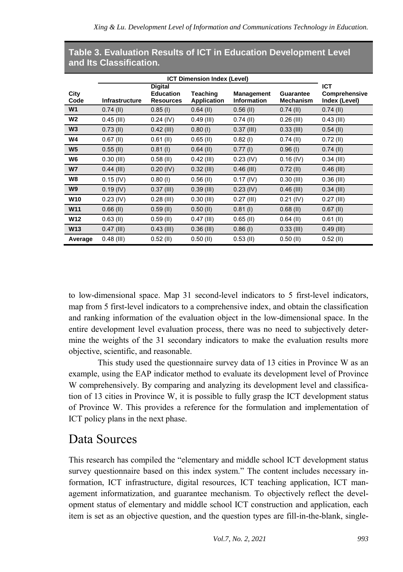| City<br>Code    | <b>Infrastructure</b> | <b>Digital</b><br><b>Education</b><br><b>Resources</b> | Teaching<br><b>Application</b> | <b>Management</b><br><b>Information</b> | Guarantee<br><b>Mechanism</b> | <b>ICT</b><br>Comprehensive<br>Index (Level) |
|-----------------|-----------------------|--------------------------------------------------------|--------------------------------|-----------------------------------------|-------------------------------|----------------------------------------------|
| W <sub>1</sub>  | $0.74$ (II)           | $0.85$ (I)                                             | $0.64$ (II)                    | $0.56$ (II)                             | $0.74$ (II)                   | $0.74$ (II)                                  |
| W <sub>2</sub>  | $0.45$ (III)          | $0.24$ (IV)                                            | $0.49$ (III)                   | $0.74$ (II)                             | $0.26$ (III)                  | $0.43$ (III)                                 |
| W <sub>3</sub>  | $0.73$ (II)           | $0.42$ (III)                                           | $0.80$ (l)                     | $0.37$ (III)                            | $0.33$ (III)                  | $0.54$ (II)                                  |
| W4              | $0.67$ (II)           | $0.61$ (II)                                            | $0.65$ (II)                    | $0.82$ (l)                              | $0.74$ (II)                   | $0.72$ (II)                                  |
| W <sub>5</sub>  | $0.55$ (II)           | $0.81$ (l)                                             | $0.64$ (II)                    | $0.77$ (l)                              | $0.96$ (I)                    | $0.74$ (II)                                  |
| W <sub>6</sub>  | $0.30$ (III)          | $0.58$ (II)                                            | $0.42$ (III)                   | $0.23$ (IV)                             | $0.16$ (IV)                   | $0.34$ (III)                                 |
| W <sub>7</sub>  | $0.44$ (III)          | $0.20$ (IV)                                            | $0.32$ (III)                   | $0.46$ (III)                            | $0.72$ (II)                   | $0.46$ (III)                                 |
| W8              | $0.15$ (IV)           | $0.80$ (l)                                             | $0.56$ (II)                    | $0.17$ (IV)                             | $0.30$ (III)                  | $0.36$ (III)                                 |
| W9              | $0.19$ (IV)           | $0.37$ (III)                                           | $0.39$ (III)                   | $0.23$ (IV)                             | $0.46$ (III)                  | $0.34$ (III)                                 |
| <b>W10</b>      | $0.23$ (IV)           | $0.28$ (III)                                           | $0.30$ (III)                   | $0.27$ (III)                            | $0.21$ (IV)                   | $0.27$ (III)                                 |
| W <sub>11</sub> | $0.66$ (II)           | $0.59$ (II)                                            | $0.50$ (II)                    | $0.81$ (l)                              | $0.68$ (II)                   | $0.67$ (II)                                  |
| W <sub>12</sub> | $0.63$ (II)           | $0.59$ (II)                                            | $0.47$ (III)                   | $0.65$ (II)                             | $0.64$ (II)                   | $0.61$ (II)                                  |
| <b>W13</b>      | $0.47$ (III)          | $0.43$ (III)                                           | $0.36$ (III)                   | $0.86$ (l)                              | $0.33$ (III)                  | $0.49$ (III)                                 |
| Average         | $0.48$ (III)          | $0.52$ (II)                                            | $0.50$ (II)                    | $0.53$ (II)                             | $0.50$ (II)                   | $0.52$ (II)                                  |

#### **Table 3. Evaluation Results of ICT in Education Development Level and Its Classification.**

to low-dimensional space. Map 31 second-level indicators to 5 first-level indicators, map from 5 first-level indicators to a comprehensive index, and obtain the classification and ranking information of the evaluation object in the low-dimensional space. In the entire development level evaluation process, there was no need to subjectively determine the weights of the 31 secondary indicators to make the evaluation results more objective, scientific, and reasonable.

This study used the questionnaire survey data of 13 cities in Province W as an example, using the EAP indicator method to evaluate its development level of Province W comprehensively. By comparing and analyzing its development level and classification of 13 cities in Province W, it is possible to fully grasp the ICT development status of Province W. This provides a reference for the formulation and implementation of ICT policy plans in the next phase.

### Data Sources

This research has compiled the "elementary and middle school ICT development status survey questionnaire based on this index system." The content includes necessary information, ICT infrastructure, digital resources, ICT teaching application, ICT management informatization, and guarantee mechanism. To objectively reflect the development status of elementary and middle school ICT construction and application, each item is set as an objective question, and the question types are fill-in-the-blank, single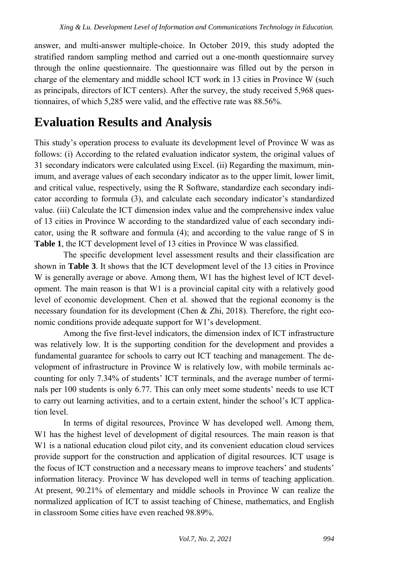answer, and multi-answer multiple-choice. In October 2019, this study adopted the stratified random sampling method and carried out a one-month questionnaire survey through the online questionnaire. The questionnaire was filled out by the person in charge of the elementary and middle school ICT work in 13 cities in Province W (such as principals, directors of ICT centers). After the survey, the study received 5,968 questionnaires, of which 5,285 were valid, and the effective rate was 88.56%.

## **Evaluation Results and Analysis**

This study's operation process to evaluate its development level of Province W was as follows: (i) According to the related evaluation indicator system, the original values of 31 secondary indicators were calculated using Excel. (ii) Regarding the maximum, minimum, and average values of each secondary indicator as to the upper limit, lower limit, and critical value, respectively, using the R Software, standardize each secondary indicator according to formula (3), and calculate each secondary indicator's standardized value. (iii) Calculate the ICT dimension index value and the comprehensive index value of 13 cities in Province W according to the standardized value of each secondary indicator, using the R software and formula (4); and according to the value range of S in **Table 1**, the ICT development level of 13 cities in Province W was classified.

The specific development level assessment results and their classification are shown in **Table 3**. It shows that the ICT development level of the 13 cities in Province W is generally average or above. Among them, W1 has the highest level of ICT development. The main reason is that W1 is a provincial capital city with a relatively good level of economic development. Chen et al. showed that the regional economy is the necessary foundation for its development (Chen  $\&$  Zhi, 2018). Therefore, the right economic conditions provide adequate support for W1's development.

Among the five first-level indicators, the dimension index of ICT infrastructure was relatively low. It is the supporting condition for the development and provides a fundamental guarantee for schools to carry out ICT teaching and management. The development of infrastructure in Province W is relatively low, with mobile terminals accounting for only 7.34% of students' ICT terminals, and the average number of terminals per 100 students is only 6.77. This can only meet some students' needs to use ICT to carry out learning activities, and to a certain extent, hinder the school's ICT application level.

In terms of digital resources, Province W has developed well. Among them, W1 has the highest level of development of digital resources. The main reason is that W1 is a national education cloud pilot city, and its convenient education cloud services provide support for the construction and application of digital resources. ICT usage is the focus of ICT construction and a necessary means to improve teachers' and students' information literacy. Province W has developed well in terms of teaching application. At present, 90.21% of elementary and middle schools in Province W can realize the normalized application of ICT to assist teaching of Chinese, mathematics, and English in classroom Some cities have even reached 98.89%.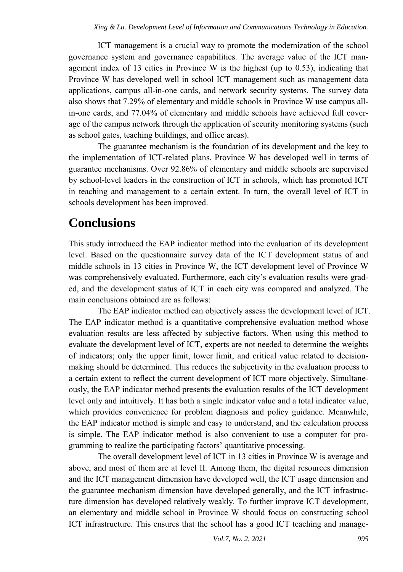ICT management is a crucial way to promote the modernization of the school governance system and governance capabilities. The average value of the ICT management index of 13 cities in Province W is the highest (up to 0.53), indicating that Province W has developed well in school ICT management such as management data applications, campus all-in-one cards, and network security systems. The survey data also shows that 7.29% of elementary and middle schools in Province W use campus allin-one cards, and 77.04% of elementary and middle schools have achieved full coverage of the campus network through the application of security monitoring systems (such as school gates, teaching buildings, and office areas).

The guarantee mechanism is the foundation of its development and the key to the implementation of ICT-related plans. Province W has developed well in terms of guarantee mechanisms. Over 92.86% of elementary and middle schools are supervised by school-level leaders in the construction of ICT in schools, which has promoted ICT in teaching and management to a certain extent. In turn, the overall level of ICT in schools development has been improved.

### **Conclusions**

This study introduced the EAP indicator method into the evaluation of its development level. Based on the questionnaire survey data of the ICT development status of and middle schools in 13 cities in Province W, the ICT development level of Province W was comprehensively evaluated. Furthermore, each city's evaluation results were graded, and the development status of ICT in each city was compared and analyzed. The main conclusions obtained are as follows:

The EAP indicator method can objectively assess the development level of ICT. The EAP indicator method is a quantitative comprehensive evaluation method whose evaluation results are less affected by subjective factors. When using this method to evaluate the development level of ICT, experts are not needed to determine the weights of indicators; only the upper limit, lower limit, and critical value related to decisionmaking should be determined. This reduces the subjectivity in the evaluation process to a certain extent to reflect the current development of ICT more objectively. Simultaneously, the EAP indicator method presents the evaluation results of the ICT development level only and intuitively. It has both a single indicator value and a total indicator value, which provides convenience for problem diagnosis and policy guidance. Meanwhile, the EAP indicator method is simple and easy to understand, and the calculation process is simple. The EAP indicator method is also convenient to use a computer for programming to realize the participating factors' quantitative processing.

The overall development level of ICT in 13 cities in Province W is average and above, and most of them are at level II. Among them, the digital resources dimension and the ICT management dimension have developed well, the ICT usage dimension and the guarantee mechanism dimension have developed generally, and the ICT infrastructure dimension has developed relatively weakly. To further improve ICT development, an elementary and middle school in Province W should focus on constructing school ICT infrastructure. This ensures that the school has a good ICT teaching and manage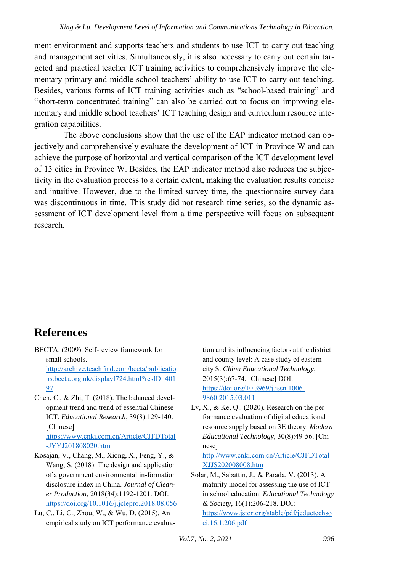ment environment and supports teachers and students to use ICT to carry out teaching and management activities. Simultaneously, it is also necessary to carry out certain targeted and practical teacher ICT training activities to comprehensively improve the elementary primary and middle school teachers' ability to use ICT to carry out teaching. Besides, various forms of ICT training activities such as "school-based training" and "short-term concentrated training" can also be carried out to focus on improving elementary and middle school teachers' ICT teaching design and curriculum resource integration capabilities.

The above conclusions show that the use of the EAP indicator method can objectively and comprehensively evaluate the development of ICT in Province W and can achieve the purpose of horizontal and vertical comparison of the ICT development level of 13 cities in Province W. Besides, the EAP indicator method also reduces the subjectivity in the evaluation process to a certain extent, making the evaluation results concise and intuitive. However, due to the limited survey time, the questionnaire survey data was discontinuous in time. This study did not research time series, so the dynamic assessment of ICT development level from a time perspective will focus on subsequent research.

### **References**

- BECTA. (2009). Self-review framework for small schools. [http://archive.teachfind.com/becta/publicatio](http://archive.teachfind.com/becta/publications.becta.org.uk/displayf724.html?resID=40197) [ns.becta.org.uk/displayf724.html?resID=401](http://archive.teachfind.com/becta/publications.becta.org.uk/displayf724.html?resID=40197) [97](http://archive.teachfind.com/becta/publications.becta.org.uk/displayf724.html?resID=40197)
- Chen, C., & Zhi, T. (2018). The balanced development trend and trend of essential Chinese ICT. *Educational Research*, 39(8):129-140. [Chinese]

[https://www.cnki.com.cn/Article/CJFDTotal](https://www.cnki.com.cn/Article/CJFDTotal-JYYJ201808020.htm) [-JYYJ201808020.htm](https://www.cnki.com.cn/Article/CJFDTotal-JYYJ201808020.htm) 

- Kosajan, V., Chang, M., Xiong, X., Feng, Y., & Wang, S. (2018). The design and application of a government environmental in-formation disclosure index in China. *Journal of Cleaner Production*, 2018(34):1192-1201. DOI: <https://doi.org/10.1016/j.jclepro.2018.08.056>
- Lu, C., Li, C., Zhou, W., & Wu, D. (2015). An empirical study on ICT performance evalua-

tion and its influencing factors at the district and county level: A case study of eastern city S. *China Educational Technology*, 2015(3):67-74. [Chinese] DOI: [https://doi.org/10.3969/j.issn.1006-](https://doi.org/10.3969/j.issn.1006-9860.2015.03.011) [9860.2015.03.011](https://doi.org/10.3969/j.issn.1006-9860.2015.03.011) 

Lv, X., & Ke, Q.. (2020). Research on the performance evaluation of digital educational resource supply based on 3E theory. *Modern Educational Technology*, 30(8):49-56. [Chinese]

[http://www.cnki.com.cn/Article/CJFDTotal-](http://www.cnki.com.cn/Article/CJFDTotal-XJJS202008008.htm)[XJJS202008008.htm](http://www.cnki.com.cn/Article/CJFDTotal-XJJS202008008.htm) 

Solar, M., Sabattin, J., & Parada, V. (2013). A maturity model for assessing the use of ICT in school education. *Educational Technology & Society*, 16(1):206-218. DOI: [https://www.jstor.org/stable/pdf/jeductechso](https://www.jstor.org/stable/pdf/jeductechsoci.16.1.206.pdf) [ci.16.1.206.pdf](https://www.jstor.org/stable/pdf/jeductechsoci.16.1.206.pdf)